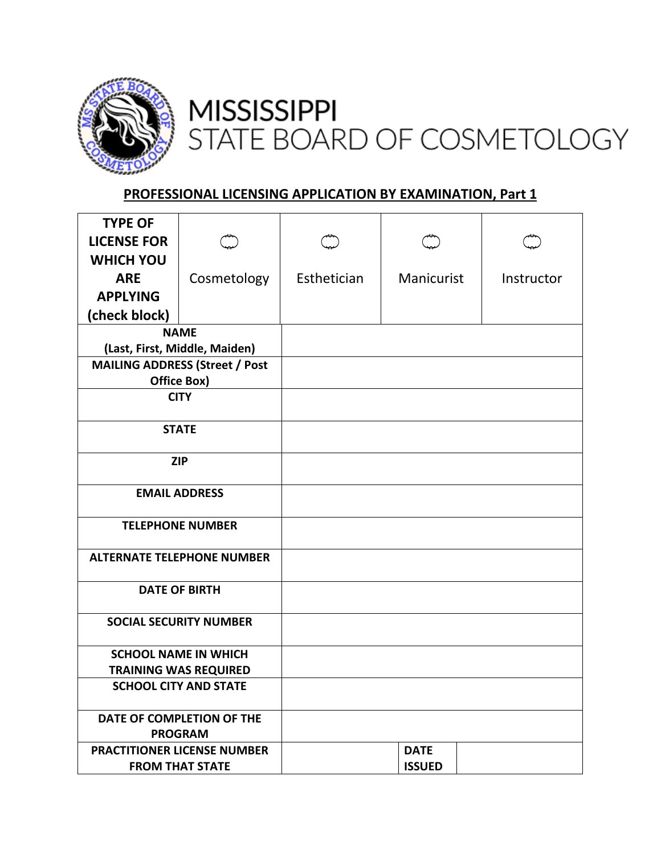

## **MISSISSIPPI** STATE BOARD OF COSMETOLOGY

## **PROFESSIONAL LICENSING APPLICATION BY EXAMINATION, Part 1**

| <b>TYPE OF</b>                                               |             |             |               |            |
|--------------------------------------------------------------|-------------|-------------|---------------|------------|
| <b>LICENSE FOR</b>                                           |             |             |               |            |
| <b>WHICH YOU</b>                                             |             |             |               |            |
| <b>ARE</b>                                                   | Cosmetology | Esthetician | Manicurist    | Instructor |
| <b>APPLYING</b>                                              |             |             |               |            |
| (check block)                                                |             |             |               |            |
| <b>NAME</b>                                                  |             |             |               |            |
| (Last, First, Middle, Maiden)                                |             |             |               |            |
| <b>MAILING ADDRESS (Street / Post</b>                        |             |             |               |            |
| Office Box)                                                  |             |             |               |            |
| <b>CITY</b>                                                  |             |             |               |            |
| <b>STATE</b>                                                 |             |             |               |            |
|                                                              |             |             |               |            |
| <b>ZIP</b>                                                   |             |             |               |            |
|                                                              |             |             |               |            |
| <b>EMAIL ADDRESS</b>                                         |             |             |               |            |
| <b>TELEPHONE NUMBER</b>                                      |             |             |               |            |
|                                                              |             |             |               |            |
| <b>ALTERNATE TELEPHONE NUMBER</b>                            |             |             |               |            |
|                                                              |             |             |               |            |
| <b>DATE OF BIRTH</b>                                         |             |             |               |            |
| <b>SOCIAL SECURITY NUMBER</b>                                |             |             |               |            |
|                                                              |             |             |               |            |
| <b>SCHOOL NAME IN WHICH</b>                                  |             |             |               |            |
| <b>TRAINING WAS REQUIRED</b><br><b>SCHOOL CITY AND STATE</b> |             |             |               |            |
|                                                              |             |             |               |            |
| DATE OF COMPLETION OF THE                                    |             |             |               |            |
| <b>PROGRAM</b>                                               |             |             |               |            |
| <b>PRACTITIONER LICENSE NUMBER</b>                           |             |             | <b>DATE</b>   |            |
| <b>FROM THAT STATE</b>                                       |             |             | <b>ISSUED</b> |            |